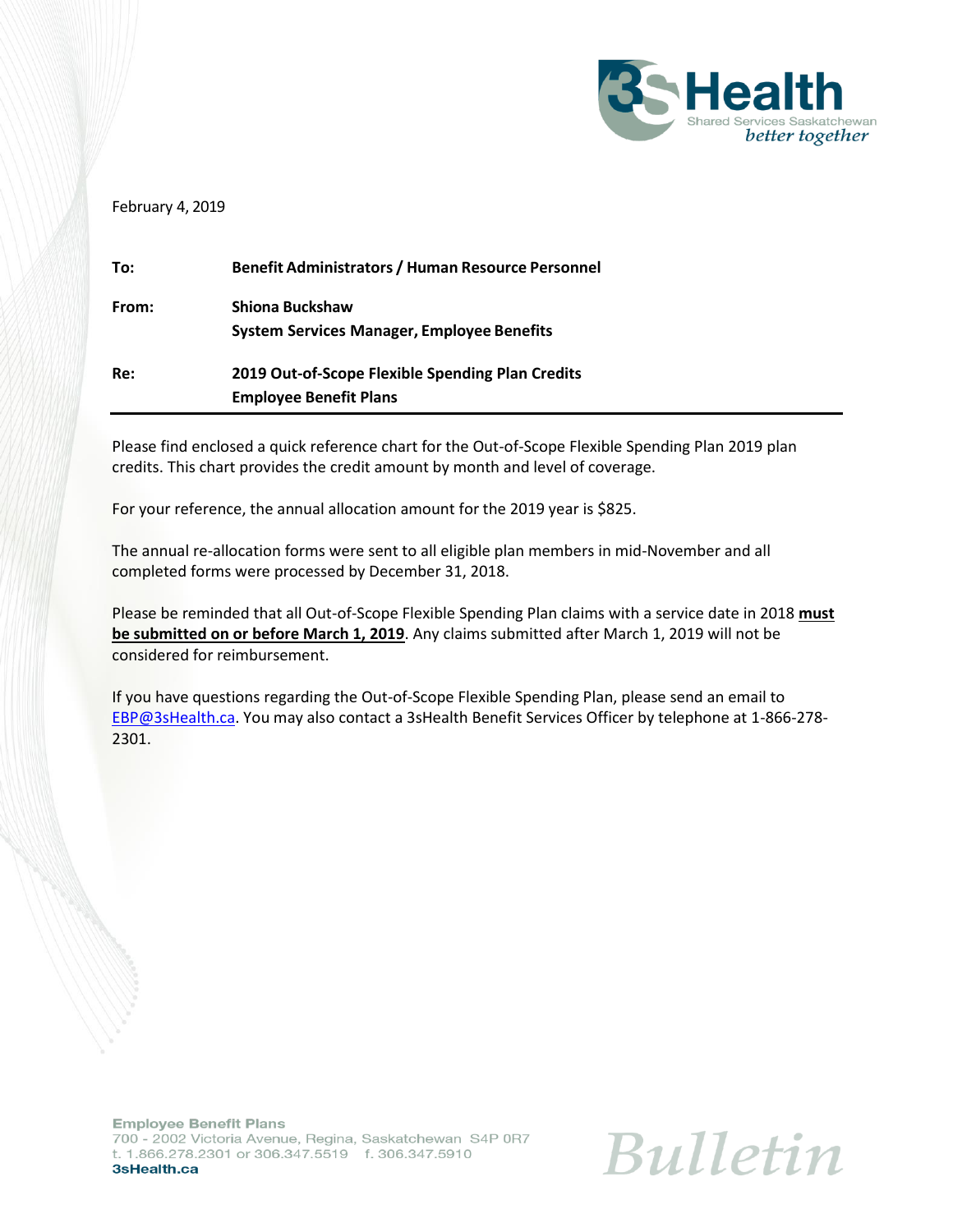

#### February 4, 2019

| To:   | <b>Benefit Administrators / Human Resource Personnel</b> |
|-------|----------------------------------------------------------|
| From: | <b>Shiona Buckshaw</b>                                   |
|       | <b>System Services Manager, Employee Benefits</b>        |
| Re:   | 2019 Out-of-Scope Flexible Spending Plan Credits         |
|       | <b>Employee Benefit Plans</b>                            |

Please find enclosed a quick reference chart for the Out-of-Scope Flexible Spending Plan 2019 plan credits. This chart provides the credit amount by month and level of coverage.

For your reference, the annual allocation amount for the 2019 year is \$825.

The annual re-allocation forms were sent to all eligible plan members in mid-November and all completed forms were processed by December 31, 2018.

Please be reminded that all Out-of-Scope Flexible Spending Plan claims with a service date in 2018 **must be submitted on or before March 1, 2019**. Any claims submitted after March 1, 2019 will not be considered for reimbursement.

If you have questions regarding the Out-of-Scope Flexible Spending Plan, please send an email to [EBP@3sHealth.ca.](mailto:EBP@3sHealth.ca) You may also contact a 3sHealth Benefit Services Officer by telephone at 1-866-278- 2301.

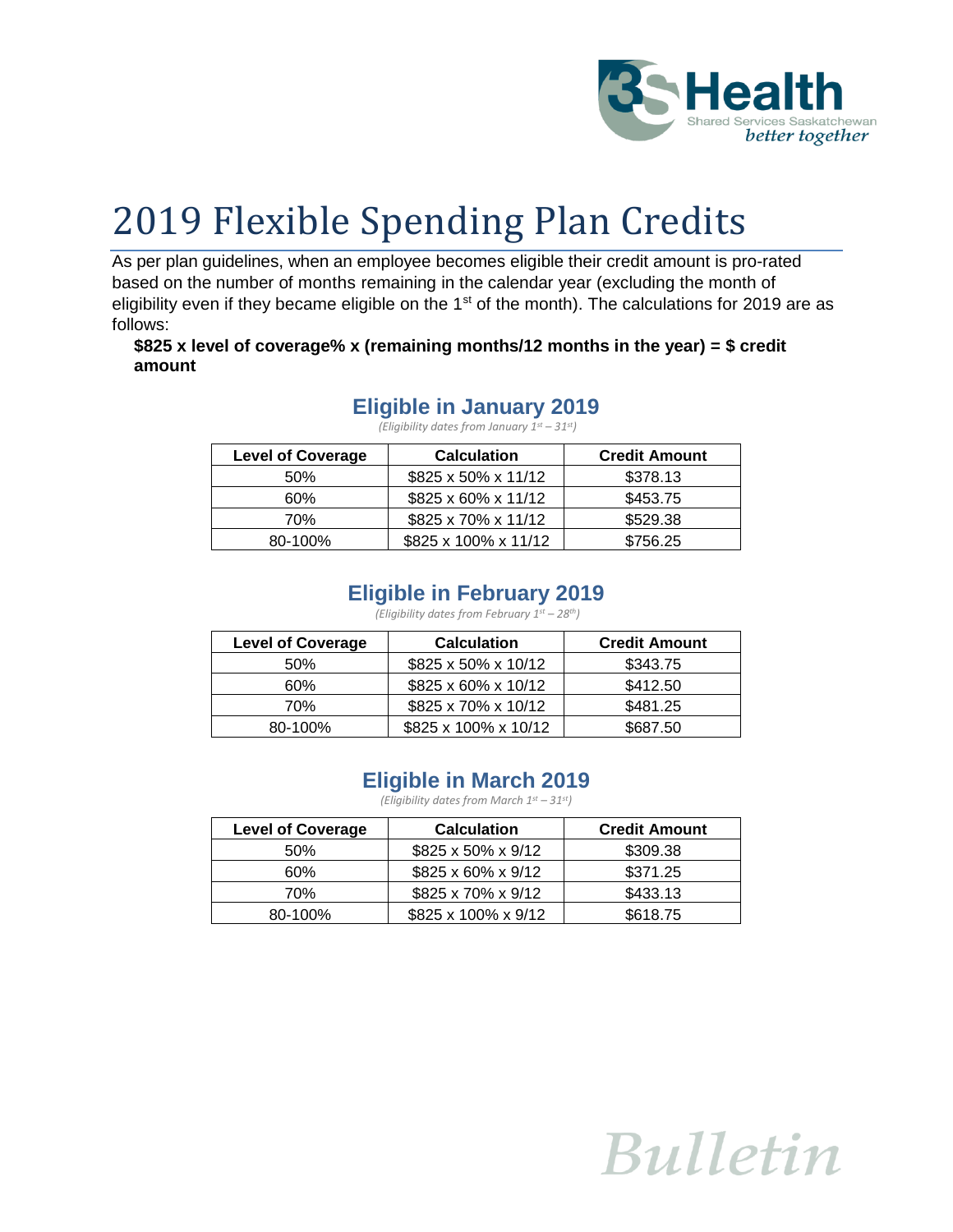

# 2019 Flexible Spending Plan Credits

As per plan guidelines, when an employee becomes eligible their credit amount is pro-rated based on the number of months remaining in the calendar year (excluding the month of eligibility even if they became eligible on the  $1<sup>st</sup>$  of the month). The calculations for 2019 are as follows:

#### **\$825 x level of coverage% x (remaining months/12 months in the year) = \$ credit amount**

# **Eligible in January 2019**

*(Eligibility dates from January 1st – 31st)*

| <b>Level of Coverage</b> | <b>Calculation</b>   | <b>Credit Amount</b> |
|--------------------------|----------------------|----------------------|
| 50%                      | \$825 x 50% x 11/12  | \$378.13             |
| 60%                      | \$825 x 60% x 11/12  | \$453.75             |
| 70%                      | \$825 x 70% x 11/12  | \$529.38             |
| 80-100%                  | \$825 x 100% x 11/12 | \$756.25             |

## **Eligible in February 2019**

*(Eligibility dates from February 1st – 28th)*

| <b>Level of Coverage</b> | <b>Calculation</b>   | <b>Credit Amount</b> |
|--------------------------|----------------------|----------------------|
| 50%                      | \$825 x 50% x 10/12  | \$343.75             |
| 60%                      | \$825 x 60% x 10/12  | \$412.50             |
| 70%                      | \$825 x 70% x 10/12  | \$481.25             |
| 80-100%                  | \$825 x 100% x 10/12 | \$687.50             |

# **Eligible in March 2019**

*(Eligibility dates from March 1st – 31st)*

| <b>Level of Coverage</b> | <b>Calculation</b>  | <b>Credit Amount</b> |
|--------------------------|---------------------|----------------------|
| 50%                      | \$825 x 50% x 9/12  | \$309.38             |
| 60%                      | \$825 x 60% x 9/12  | \$371.25             |
| 70%                      | \$825 x 70% x 9/12  | \$433.13             |
| 80-100%                  | \$825 x 100% x 9/12 | \$618.75             |

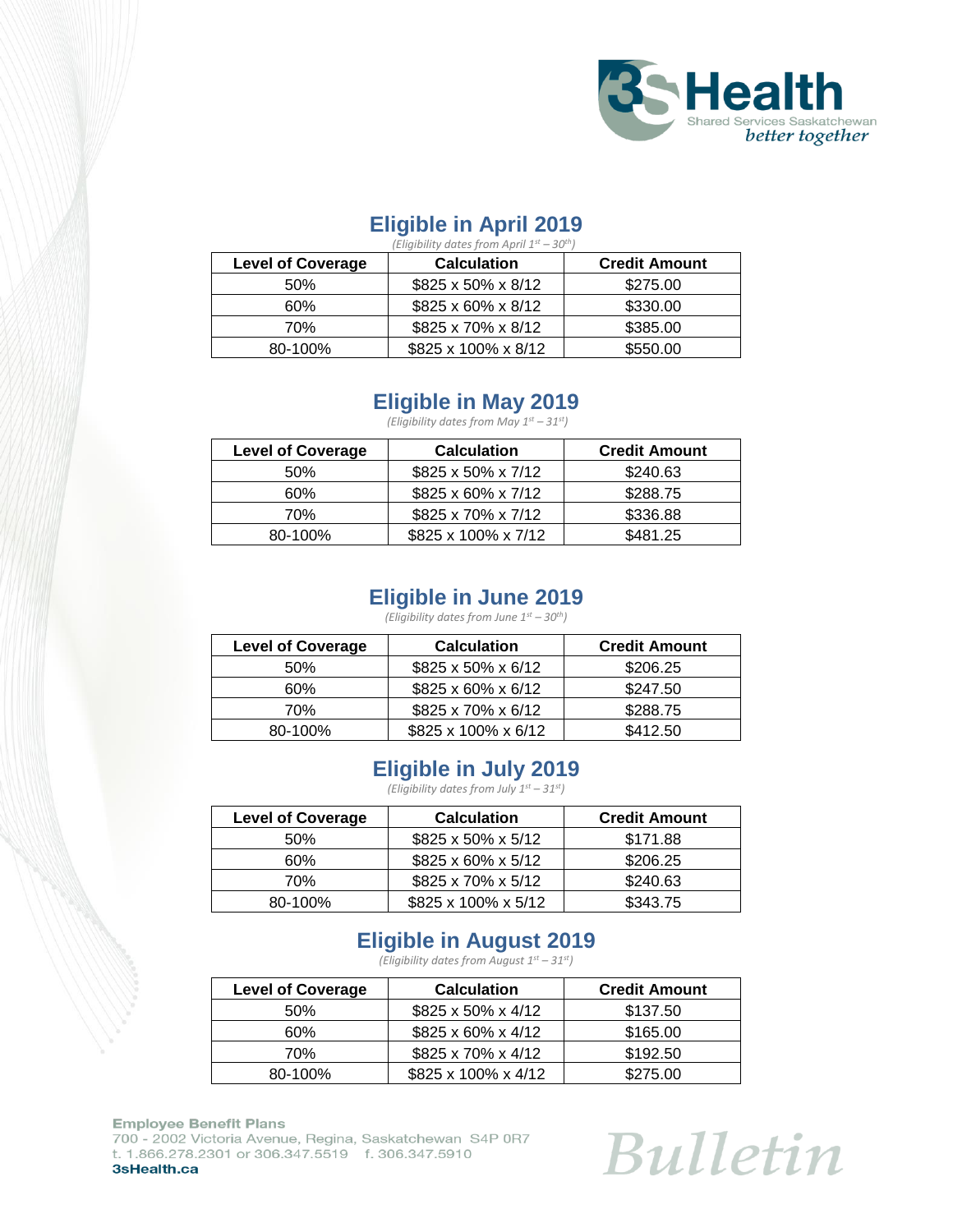

### **Eligible in April 2019**

| (Eligibility dates from April $1^{st}$ – 30 <sup>th</sup> ) |  |  |
|-------------------------------------------------------------|--|--|

| <b>Level of Coverage</b> | <b>Calculation</b>  | <b>Credit Amount</b> |
|--------------------------|---------------------|----------------------|
| 50%                      | \$825 x 50% x 8/12  | \$275.00             |
| 60%                      | \$825 x 60% x 8/12  | \$330.00             |
| 70%                      | \$825 x 70% x 8/12  | \$385.00             |
| 80-100%                  | \$825 x 100% x 8/12 | \$550.00             |

# **Eligible in May 2019**

*(Eligibility dates from May 1st – 31st)*

| <b>Level of Coverage</b> | <b>Calculation</b>  | <b>Credit Amount</b> |
|--------------------------|---------------------|----------------------|
| 50%                      | \$825 x 50% x 7/12  | \$240.63             |
| 60%                      | \$825 x 60% x 7/12  | \$288.75             |
| 70%                      | \$825 x 70% x 7/12  | \$336.88             |
| 80-100%                  | \$825 x 100% x 7/12 | \$481.25             |

### **Eligible in June 2019**

*(Eligibility dates from June 1st – 30th)*

| <b>Level of Coverage</b> | <b>Calculation</b>  | <b>Credit Amount</b> |
|--------------------------|---------------------|----------------------|
| 50%                      | \$825 x 50% x 6/12  | \$206.25             |
| 60%                      | \$825 x 60% x 6/12  | \$247.50             |
| 70%                      | \$825 x 70% x 6/12  | \$288.75             |
| 80-100%                  | \$825 x 100% x 6/12 | \$412.50             |

# **Eligible in July 2019**

*(Eligibility dates from July 1st – 31st)*

| <b>Level of Coverage</b> | <b>Calculation</b>  | <b>Credit Amount</b> |
|--------------------------|---------------------|----------------------|
| 50%                      | \$825 x 50% x 5/12  | \$171.88             |
| 60%                      | \$825 x 60% x 5/12  | \$206.25             |
| 70%                      | \$825 x 70% x 5/12  | \$240.63             |
| 80-100%                  | \$825 x 100% x 5/12 | \$343.75             |

# **Eligible in August 2019**

*(Eligibility dates from August 1st – 31st)*

| <b>Level of Coverage</b> | <b>Calculation</b>  | <b>Credit Amount</b> |
|--------------------------|---------------------|----------------------|
| .50%                     | \$825 x 50% x 4/12  | \$137.50             |
| 60%                      | \$825 x 60% x 4/12  | \$165.00             |
| 70%                      | \$825 x 70% x 4/12  | \$192.50             |
| 80-100%                  | \$825 x 100% x 4/12 | \$275.00             |